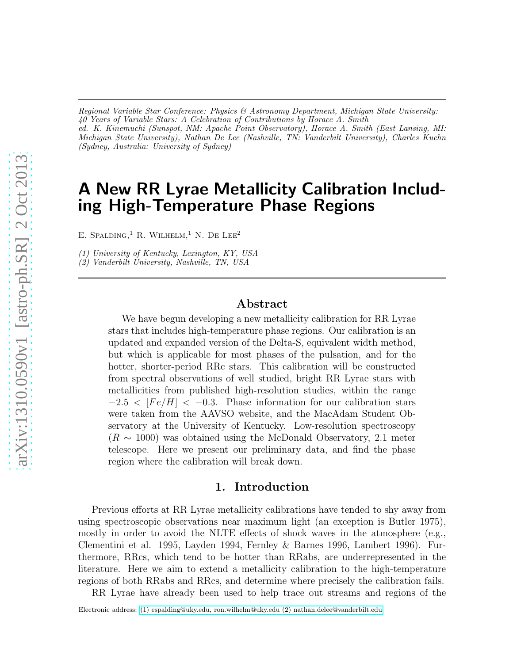*Regional Variable Star Conference: Physics & Astronomy Department, Michigan State University: 40 Years of Variable Stars: A Celebration of Contributions by Horace A. Smith ed. K. Kinemuchi (Sunspot, NM: Apache Point Observatory), Horace A. Smith (East Lansing, MI: Michigan State University), Nathan De Lee (Nashville, TN: Vanderbilt University), Charles Kuehn (Sydney, Australia: University of Sydney)*

# A New RR Lyrae Metallicity Calibration Including High-Temperature Phase Regions

E. SPALDING,<sup>1</sup> R. WILHELM,<sup>1</sup> N. DE LEE<sup>2</sup>

*(1) University of Kentucky, Lexington, KY, USA*

*(2) Vanderbilt University, Nashville, TN, USA*

### Abstract

We have begun developing a new metallicity calibration for RR Lyrae stars that includes high-temperature phase regions. Our calibration is an updated and expanded version of the Delta-S, equivalent width method, but which is applicable for most phases of the pulsation, and for the hotter, shorter-period RRc stars. This calibration will be constructed from spectral observations of well studied, bright RR Lyrae stars with metallicities from published high-resolution studies, within the range  $-2.5 < [Fe/H] < -0.3$ . Phase information for our calibration stars were taken from the AAVSO website, and the MacAdam Student Observatory at the University of Kentucky. Low-resolution spectroscopy  $(R \sim 1000)$  was obtained using the McDonald Observatory, 2.1 meter telescope. Here we present our preliminary data, and find the phase region where the calibration will break down.

#### 1. Introduction

Previous efforts at RR Lyrae metallicity calibrations have tended to shy away from using spectroscopic observations near maximum light (an exception is Butler 1975), mostly in order to avoid the NLTE effects of shock waves in the atmosphere (e.g., Clementini et al. 1995, Layden 1994, Fernley & Barnes 1996, Lambert 1996). Furthermore, RRcs, which tend to be hotter than RRabs, are underrepresented in the literature. Here we aim to extend a metallicity calibration to the high-temperature regions of both RRabs and RRcs, and determine where precisely the calibration fails.

RR Lyrae have already been used to help trace out streams and regions of the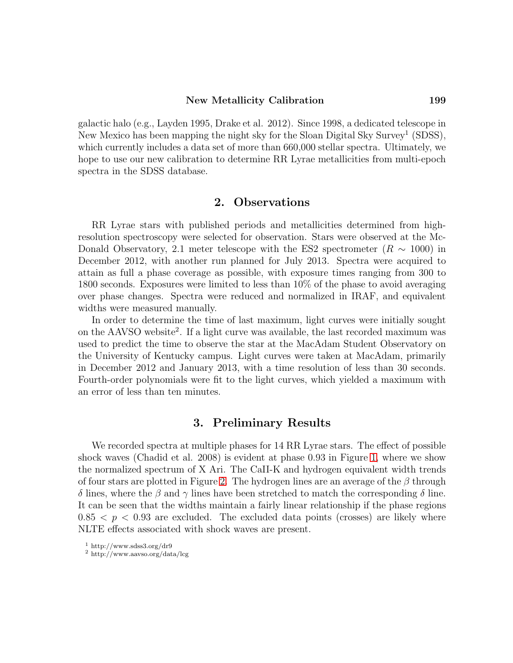#### New Metallicity Calibration 199

galactic halo (e.g., Layden 1995, Drake et al. 2012). Since 1998, a dedicated telescope in New Mexico has been mapping the night sky for the Sloan Digital Sky Survey<sup>1</sup> (SDSS), which currently includes a data set of more than 660,000 stellar spectra. Ultimately, we hope to use our new calibration to determine RR Lyrae metallicities from multi-epoch spectra in the SDSS database.

### 2. Observations

RR Lyrae stars with published periods and metallicities determined from highresolution spectroscopy were selected for observation. Stars were observed at the Mc-Donald Observatory, 2.1 meter telescope with the ES2 spectrometer ( $R \sim 1000$ ) in December 2012, with another run planned for July 2013. Spectra were acquired to attain as full a phase coverage as possible, with exposure times ranging from 300 to 1800 seconds. Exposures were limited to less than 10% of the phase to avoid averaging over phase changes. Spectra were reduced and normalized in IRAF, and equivalent widths were measured manually.

In order to determine the time of last maximum, light curves were initially sought on the AAVSO website<sup>2</sup>. If a light curve was available, the last recorded maximum was used to predict the time to observe the star at the MacAdam Student Observatory on the University of Kentucky campus. Light curves were taken at MacAdam, primarily in December 2012 and January 2013, with a time resolution of less than 30 seconds. Fourth-order polynomials were fit to the light curves, which yielded a maximum with an error of less than ten minutes.

## 3. Preliminary Results

We recorded spectra at multiple phases for 14 RR Lyrae stars. The effect of possible shock waves (Chadid et al. 2008) is evident at phase 0.93 in Figure [1,](#page-2-0) where we show the normalized spectrum of X Ari. The CaII-K and hydrogen equivalent width trends of four stars are plotted in Figure [2.](#page-3-0) The hydrogen lines are an average of the  $\beta$  through δ lines, where the β and γ lines have been stretched to match the corresponding δ line. It can be seen that the widths maintain a fairly linear relationship if the phase regions  $0.85 < p < 0.93$  are excluded. The excluded data points (crosses) are likely where NLTE effects associated with shock waves are present.

<sup>1</sup> http://www.sdss3.org/dr9

<sup>2</sup> http://www.aavso.org/data/lcg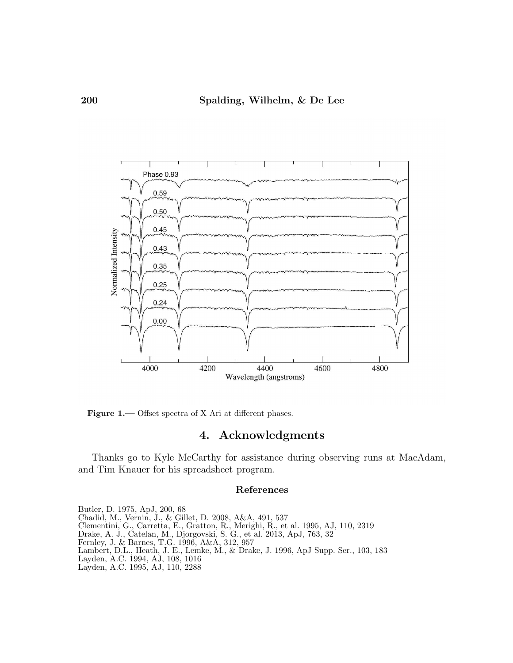

<span id="page-2-0"></span>Figure 1.— Offset spectra of X Ari at different phases.

# 4. Acknowledgments

Thanks go to Kyle McCarthy for assistance during observing runs at MacAdam, and Tim Knauer for his spreadsheet program.

#### References

Butler, D. 1975, ApJ, 200, 68 Chadid, M., Vernin, J., & Gillet, D. 2008, A&A, 491, 537 Clementini, G., Carretta, E., Gratton, R., Merighi, R., et al. 1995, AJ, 110, 2319 Drake, A. J., Catelan, M., Djorgovski, S. G., et al. 2013, ApJ, 763, 32 Fernley, J. & Barnes, T.G. 1996, A&A, 312, 957 Lambert, D.L., Heath, J. E., Lemke, M., & Drake, J. 1996, ApJ Supp. Ser., 103, 183 Layden, A.C. 1994, AJ, 108, 1016 Layden, A.C. 1995, AJ, 110, 2288